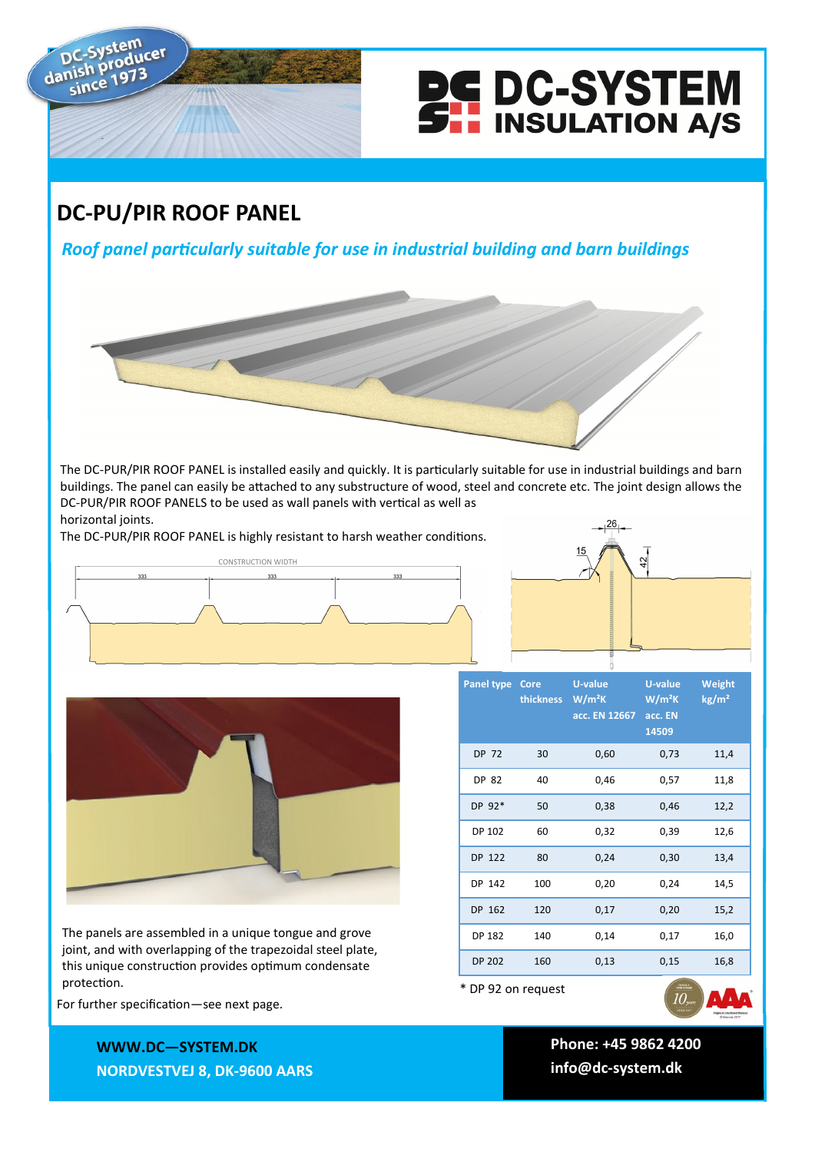



## **DC-PU/PIR ROOF PANEL**

*Roof panel particularly suitable for use in industrial building and barn buildings*

The DC-PUR/PIR ROOF PANEL is installed easily and quickly. It is particularly suitable for use in industrial buildings and barn buildings. The panel can easily be attached to any substructure of wood, steel and concrete etc. The joint design allows the DC-PUR/PIR ROOF PANELS to be used as wall panels with vertical as well as horizontal joints.

The DC-PUR/PIR ROOF PANEL is highly resistant to harsh weather conditions.







The panels are assembled in a unique tongue and grove joint, and with overlapping of the trapezoidal steel plate, this unique construction provides optimum condensate protection. The protection of the contract of the contract of the contract of the protection of  $*$  DP 92 on request

| Panel type         | Core<br>thickness | <b>U-value</b><br>W/m <sup>2</sup> K<br>acc. EN 12667 | <b>U-value</b><br>W/m <sup>2</sup> K<br>acc. EN<br>14509 | Weight<br>kg/m <sup>2</sup> |
|--------------------|-------------------|-------------------------------------------------------|----------------------------------------------------------|-----------------------------|
| <b>DP 72</b>       | 30                | 0,60                                                  | 0,73                                                     | 11,4                        |
| DP 82              | 40                | 0,46                                                  | 0,57                                                     | 11,8                        |
| DP 92*             | 50                | 0,38                                                  | 0,46                                                     | 12,2                        |
| DP 102             | 60                | 0,32                                                  | 0,39                                                     | 12,6                        |
| DP 122             | 80                | 0,24                                                  | 0,30                                                     | 13,4                        |
| DP 142             | 100               | 0,20                                                  | 0,24                                                     | 14,5                        |
| DP 162             | 120               | 0,17                                                  | 0,20                                                     | 15,2                        |
| <b>DP 182</b>      | 140               | 0,14                                                  | 0,17                                                     | 16,0                        |
| <b>DP 202</b>      | 160               | 0,13                                                  | 0,15                                                     | 16,8                        |
| * DP 92 on request |                   |                                                       |                                                          |                             |

For further specification—see next page.

**WWWW.DC—SYSTEM.DK WWW.DC—SYSTEM.DK NORDVESTVEJ 8, 9600 AARS NORDVESTVEJ 8, DK-9600 AARS**

**TLF: +45 9862 4200 Phone: +45 9862 4200 E-MAIL: DC-SYSTEM@DC-SYSTEM.DK info@dc-system.dk**